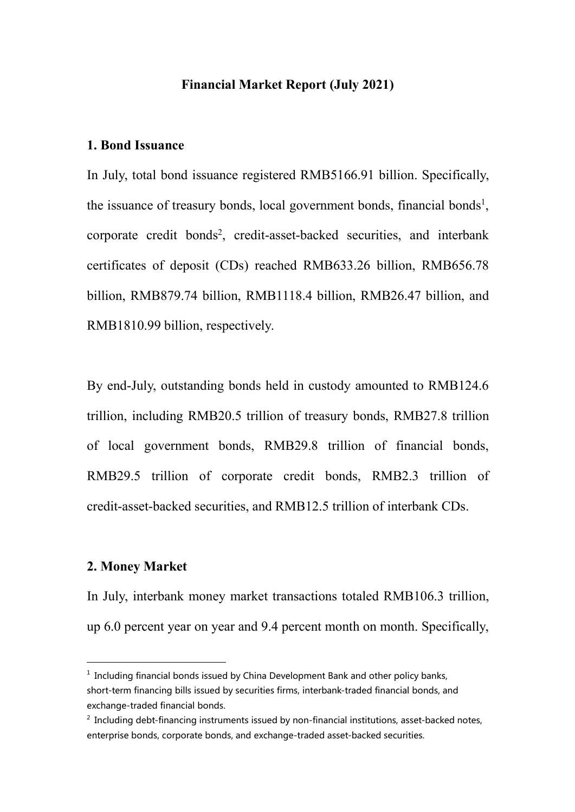### **Financial Market Report (July 2021)**

# **1. Bond Issuance**

In July, total bond issuance registered RMB5166.91 billion. Specifically, the issuance of treasury bonds, local government bonds, financial bonds [1](#page-0-0) , corporate credit bonds [2](#page-0-1) , credit-asset-backed securities, and interbank certificates of deposit (CDs) reached RMB633.26 billion, RMB656.78 billion, RMB879.74 billion, RMB1118.4 billion, RMB26.47 billion, and RMB1810.99 billion, respectively.

By end-July, outstanding bonds held in custody amounted to RMB124.6 trillion, including RMB20.5 trillion of treasury bonds, RMB27.8 trillion of local government bonds, RMB29.8 trillion of financial bonds, RMB29.5 trillion of corporate credit bonds, RMB2.3 trillion of credit-asset-backed securities, and RMB12.5 trillion of interbank CDs.

### **2. Money Market**

In July, interbank money market transactions totaled RMB106.3 trillion, up 6.0 percent year on year and 9.4 percent month on month. Specifically,

<span id="page-0-0"></span> $^1$  Including financial bonds issued by China Development Bank and other policy banks, short-term financing bills issued by securities firms, interbank-traded financial bonds, and exchange-traded financial bonds.

<span id="page-0-1"></span> $<sup>2</sup>$  Including debt-financing instruments issued by non-financial institutions, asset-backed notes,</sup> enterprise bonds, corporate bonds, and exchange-traded asset-backed securities.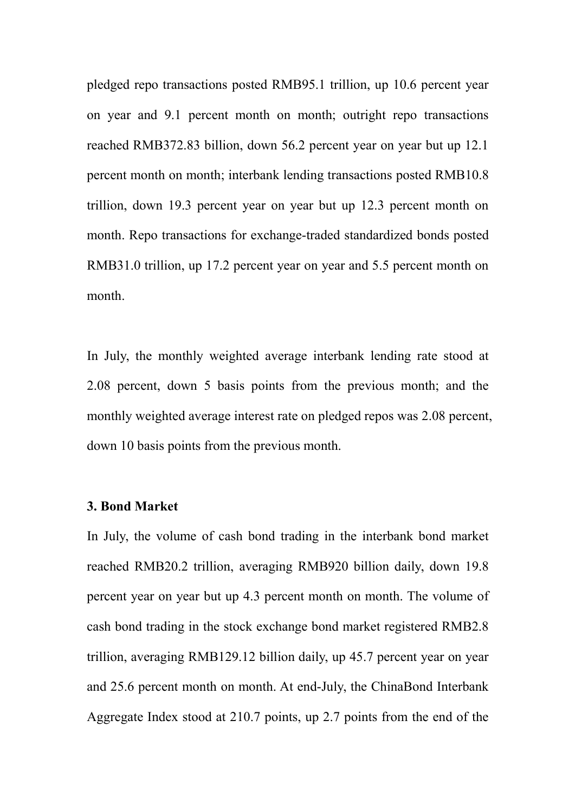pledged repo transactions posted RMB95.1 trillion, up 10.6 percent year on year and 9.1 percent month on month; outright repo transactions reached RMB372.83 billion, down 56.2 percent year on year but up 12.1 percent month on month; interbank lending transactions posted RMB10.8 trillion, down 19.3 percent year on year but up 12.3 percent month on month. Repo transactions for exchange-traded standardized bonds posted RMB31.0 trillion, up 17.2 percent year on year and 5.5 percent month on month.

In July, the monthly weighted average interbank lending rate stood at 2.08 percent, down 5 basis points from the previous month; and the monthly weighted average interest rate on pledged repos was 2.08 percent, down 10 basis points from the previous month.

#### **3. Bond Market**

In July, the volume of cash bond trading in the interbank bond market reached RMB20.2 trillion, averaging RMB920 billion daily, down 19.8 percent year on year but up 4.3 percent month on month. The volume of cash bond trading in the stock exchange bond market registered RMB2.8 trillion, averaging RMB129.12 billion daily, up 45.7 percent year on year and 25.6 percent month on month. At end-July, the ChinaBond Interbank Aggregate Index stood at 210.7 points, up 2.7 points from the end of the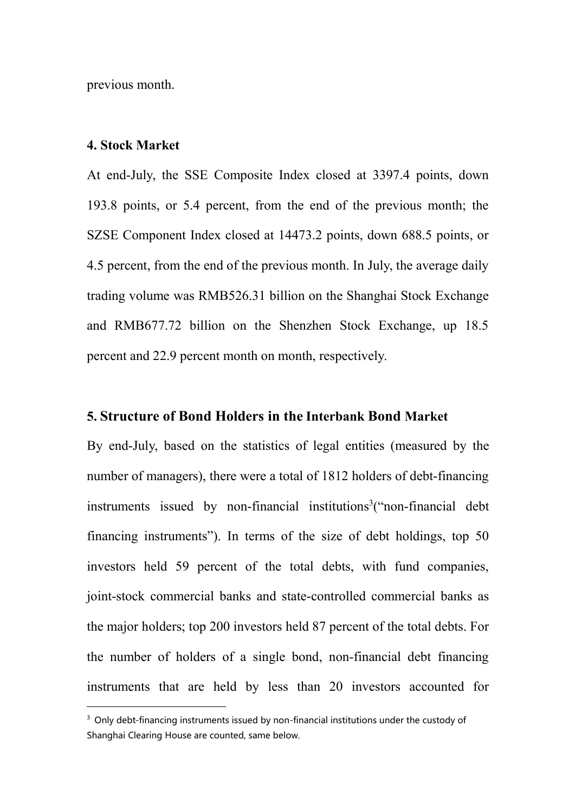previous month.

## **4. Stock Market**

At end-July, the SSE Composite Index closed at 3397.4 points, down 193.8 points, or 5.4 percent, from the end of the previous month; the SZSE Component Index closed at 14473.2 points, down 688.5 points, or 4.5 percent, from the end of the previous month. In July, the average daily trading volume was RMB526.31 billion on the Shanghai Stock Exchange and RMB677.72 billion on the Shenzhen Stock Exchange, up  $18.5$ percent and 22.9 percent month on month, respectively.

### **5. Structure of Bond Holders in the Interbank Bond Market**

By end-July, based on the statistics of legal entities (measured by the number of managers), there were a total of 1812 holders of debt-financing instruments issued by non-financial institutions [3](#page-2-0)("non-financial debt financing instruments"). In terms of the size of debt holdings, top 50 investors held 59 percent of the total debts, with fund companies, joint-stock commercial banks and state-controlled commercial banks as the major holders; top 200 investors held 87 percent of the total debts. For the number of holders of a single bond, non-financial debt financing instruments that are held by less than 20 investors accounted for

<span id="page-2-0"></span><sup>&</sup>lt;sup>3</sup> Only debt-financing instruments issued by non-financial institutions under the custody of Shanghai Clearing House are counted, same below.